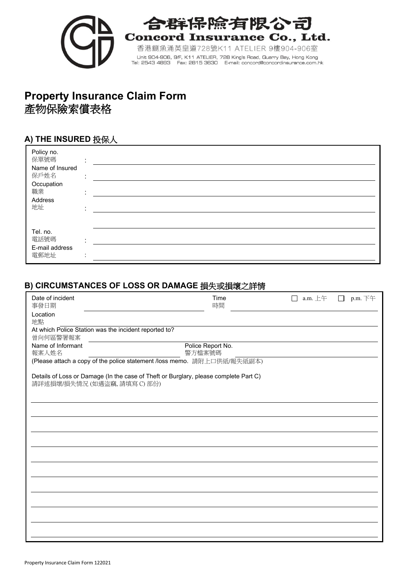

# 合群保除有限公司 **Concord Insurance Co., Ltd.**

香港鰂魚涌英皇道728號K11 ATELIER 9樓904-906室 Unit 904-906, 9/F, K11 ATELIER, 728 King's Road, Quarry Bay, Hong Kong<br>Tel: 2543 4893 Fax: 2815 3630 E-mail: concord@concordinsurance.com.hk

# **Property Insurance Claim Form** 產物保險索償表格

## **A) THE INSURED** 投保人

| Policy no.<br>保單號碼<br>Name of Insured<br>保戶姓名<br>Occupation<br>職業<br>Address<br>地址 | $\cdot$<br>$\cdot$           |  |
|------------------------------------------------------------------------------------|------------------------------|--|
| Tel. no.<br>電話號碼<br>E-mail address<br>電郵地址                                         | $\sim$<br>$\cdot$<br>$\cdot$ |  |

## **B) CIRCUMSTANCES OF LOSS OR DAMAGE** 損失或損壞之詳情

| Date of incident<br>事發日期   |                                                       | Time<br>時間                                                                           | a.m. $E +$ | p.m. 下午 |
|----------------------------|-------------------------------------------------------|--------------------------------------------------------------------------------------|------------|---------|
| Location<br>地點             |                                                       |                                                                                      |            |         |
| 曾向何區警署報案                   | At which Police Station was the incident reported to? |                                                                                      |            |         |
| Name of Informant<br>報案人姓名 |                                                       | Police Report No.<br>警方檔案號碼                                                          |            |         |
|                            |                                                       | (Please attach a copy of the police statement /loss memo. 請附上口供紙/報失紙副本)              |            |         |
|                            | 請詳述損壞/損失情況 (如遇盜竊,請填寫C)部份)                             | Details of Loss or Damage (In the case of Theft or Burglary, please complete Part C) |            |         |
|                            |                                                       |                                                                                      |            |         |
|                            |                                                       |                                                                                      |            |         |
|                            |                                                       |                                                                                      |            |         |
|                            |                                                       |                                                                                      |            |         |
|                            |                                                       |                                                                                      |            |         |
|                            |                                                       |                                                                                      |            |         |
|                            |                                                       |                                                                                      |            |         |
|                            |                                                       |                                                                                      |            |         |
|                            |                                                       |                                                                                      |            |         |
|                            |                                                       |                                                                                      |            |         |
|                            |                                                       |                                                                                      |            |         |
|                            |                                                       |                                                                                      |            |         |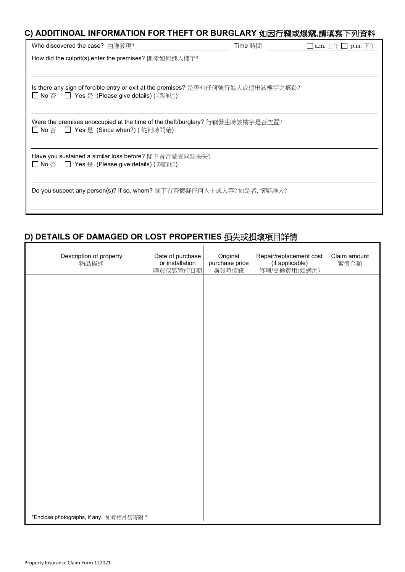## **C) ADDITINOAL INFORMATION FOR THEFT OR BURGLARY** 如因行竊或爆竊**,**請填寫下列資料

| Who discovered the case? 由誰發現?                                                                                                 | Time 時間 | □ a.m. 上午 □ p.m. 下午 |  |  |
|--------------------------------------------------------------------------------------------------------------------------------|---------|---------------------|--|--|
| How did the culprit(s) enter the premises? 匪徒如何進入樓宇?                                                                           |         |                     |  |  |
|                                                                                                                                |         |                     |  |  |
| Is there any sign of forcible entry or exit at the premises? 是否有任何強行進入或退出該樓宇之痕跡?<br>□ No 否 □ Yes 是(Please give details) ( 請詳述) |         |                     |  |  |
| Were the premises unoccupied at the time of the theft/burglary? 行竊發生時該樓宇是否空置?<br>̄ No 否   ̄ Yes 是(Since when?) ( 從何時開始)        |         |                     |  |  |
| Have you sustained a similar loss before? 閣下曾否蒙受同類損失?<br>□ No 否  □ Yes 是(Please give details) ( 請詳述)                           |         |                     |  |  |
| Do you suspect any person(s)? If so, whom? 閣下有否懷疑任何人士或人等? 如是者, 懷疑誰人?                                                           |         |                     |  |  |

# **D) DETAILS OF DAMAGED OR LOST PROPERTIES** 損失或損壞項目詳情

| Description of property<br>物品描述         | Date of purchase<br>or installation<br>購買或裝置的日期 | Original<br>purchase price<br>購買時價錢 | Repair/replacement cost<br>(if applicable)<br>修理/更換費用(如適用) | Claim amount<br>索償金額 |
|-----------------------------------------|-------------------------------------------------|-------------------------------------|------------------------------------------------------------|----------------------|
|                                         |                                                 |                                     |                                                            |                      |
|                                         |                                                 |                                     |                                                            |                      |
|                                         |                                                 |                                     |                                                            |                      |
|                                         |                                                 |                                     |                                                            |                      |
|                                         |                                                 |                                     |                                                            |                      |
|                                         |                                                 |                                     |                                                            |                      |
|                                         |                                                 |                                     |                                                            |                      |
|                                         |                                                 |                                     |                                                            |                      |
|                                         |                                                 |                                     |                                                            |                      |
|                                         |                                                 |                                     |                                                            |                      |
|                                         |                                                 |                                     |                                                            |                      |
|                                         |                                                 |                                     |                                                            |                      |
| *Enclose photographs, if any. 如有相片請寄附 * |                                                 |                                     |                                                            |                      |